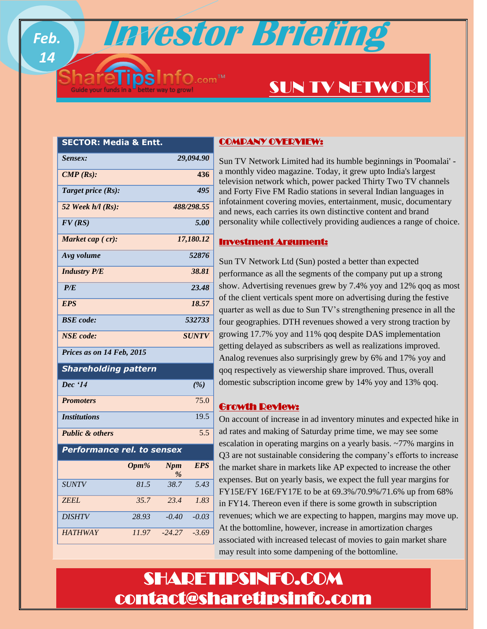**Investor Briefing**

# SUN TV NETWORK

| ıcuıa                            |       |                 |                   |
|----------------------------------|-------|-----------------|-------------------|
| Sensex:                          |       |                 | 29,094.90         |
| $\textit{CMP}$ (Rs):             |       |                 | 436               |
| Target price (Rs):               |       |                 | 495               |
| 52 Week $h/l$ (Rs):              |       |                 | 488/298.55        |
| FV(RS)                           |       |                 | 5.00              |
| Market cap (cr):                 |       |                 | 17,180.12         |
| Avg volume                       |       |                 | 52876             |
| <b>Industry P/E</b>              |       |                 | 38.81             |
| 23.48<br>P/E                     |       |                 |                   |
| <b>EPS</b>                       |       |                 | 18.57             |
| <b>BSE</b> code:<br>532733       |       |                 |                   |
| <b>NSE</b> code:<br><b>SUNTV</b> |       |                 |                   |
| Prices as on 14 Feb, 2015        |       |                 |                   |
| <b>Shareholding pattern</b>      |       |                 |                   |
| Dec '14                          |       |                 | (%)               |
| <b>Promoters</b>                 |       |                 | 75.0              |
| <b>Institutions</b>              |       |                 | 19.5              |
| <b>Public &amp; others</b>       |       |                 | 5.5               |
| Performance rel. to sensex       |       |                 |                   |
|                                  | Opm%  | <b>Npm</b><br>% | <b>EPS</b>        |
| <b>SUNTV</b>                     | 81.5  | 38.7            | $\overline{5.43}$ |
| <b>ZEEL</b>                      | 35.7  | 23.4            | 1.83              |
| <b>DISHTV</b>                    | 28.93 | $-0.40$         | $-0.03$           |
| <b>HATHWAY</b>                   | 11.97 | $-24.27$        | $-3.69$           |
|                                  |       |                 |                   |

*Feb.* 

*14*

**SECTOR: Media & Entt.**

## COMPANY OVERVIEW:

Sun TV Network Limited had its humble beginnings in 'Poomalai' a monthly video magazine. Today, it grew upto India's largest television network which, power packed Thirty Two TV channels and Forty Five FM Radio stations in several Indian languages in infotainment covering movies, entertainment, music, documentary and news, each carries its own distinctive content and brand personality while collectively providing audiences a range of choice.

### Investment Argument: I

Sun TV Network Ltd (Sun) posted a better than expected performance as all the segments of the company put up a strong show. Advertising revenues grew by 7.4% yoy and 12% qoq as most of the client verticals spent more on advertising during the festive quarter as well as due to Sun TV's strengthening presence in all the four geographies. DTH revenues showed a very strong traction by growing 17.7% yoy and 11% qoq despite DAS implementation getting delayed as subscribers as well as realizations improved. Analog revenues also surprisingly grew by 6% and 17% yoy and qoq respectively as viewership share improved. Thus, overall domestic subscription income grew by 14% yoy and 13% qoq.

## Growth Review:

On account of increase in ad inventory minutes and expected hike in ad rates and making of Saturday prime time, we may see some escalation in operating margins on a yearly basis. ~77% margins in Q3 are not sustainable considering the company's efforts to increase the market share in markets like AP expected to increase the other expenses. But on yearly basis, we expect the full year margins for FY15E/FY 16E/FY17E to be at 69.3%/70.9%/71.6% up from 68% in FY14. Thereon even if there is some growth in subscription revenues; which we are expecting to happen, margins may move up. At the bottomline, however, increase in amortization charges associated with increased telecast of movies to gain market share may result into some dampening of the bottomline.

# SHARETIPSINFO.COM contact@sharetipsinfo.com